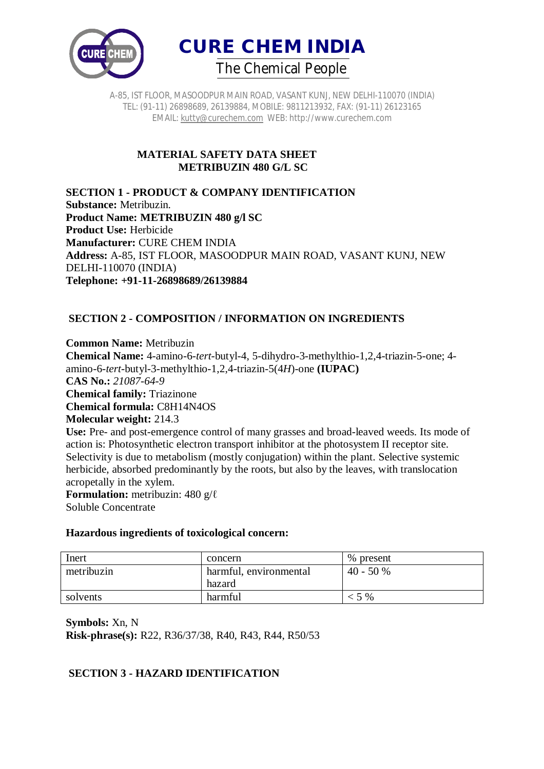



A-85, IST FLOOR, MASOODPUR MAIN ROAD, VASANT KUNJ, NEW DELHI-110070 (INDIA) TEL: (91-11) 26898689, 26139884, MOBILE: 9811213932, FAX: (91-11) 26123165 EMAIL: kutty@curechem.com WEB: http://www.curechem.com

#### **MATERIAL SAFETY DATA SHEET METRIBUZIN 480 G/L SC**

**SECTION 1 - PRODUCT & COMPANY IDENTIFICATION Substance:** Metribuzin. **Product Name: METRIBUZIN 480 g/l SC Product Use:** Herbicide **Manufacturer:** CURE CHEM INDIA **Address:** A-85, IST FLOOR, MASOODPUR MAIN ROAD, VASANT KUNJ, NEW DELHI-110070 (INDIA) **Telephone: +91-11-26898689/26139884**

# **SECTION 2 - COMPOSITION / INFORMATION ON INGREDIENTS**

**Common Name:** Metribuzin **Chemical Name:** 4-amino-6-*tert*-butyl-4, 5-dihydro-3-methylthio-1,2,4-triazin-5-one; 4 amino-6-*tert*-butyl-3-methylthio-1,2,4-triazin-5(4*H*)-one **(IUPAC) CAS No.:** *21087-64-9*  **Chemical family:** Triazinone **Chemical formula:** C8H14N4OS **Molecular weight:** 214.3 Use: Pre- and post-emergence control of many grasses and broad-leaved weeds. Its mode of action is: Photosynthetic electron transport inhibitor at the photosystem II receptor site. Selectivity is due to metabolism (mostly conjugation) within the plant. Selective systemic herbicide, absorbed predominantly by the roots, but also by the leaves, with translocation acropetally in the xylem.

**Formulation:** metribuzin: 480 g/ℓ Soluble Concentrate

#### **Hazardous ingredients of toxicological concern:**

| Inert      | concern                | % present  |
|------------|------------------------|------------|
| metribuzin | harmful, environmental | $40 - 50%$ |
|            | hazard                 |            |
| solvents   | harmful                | $<$ 5 %    |

**Symbols:** Xn, N **Risk-phrase(s):** R22, R36/37/38, R40, R43, R44, R50/53

# **SECTION 3 - HAZARD IDENTIFICATION**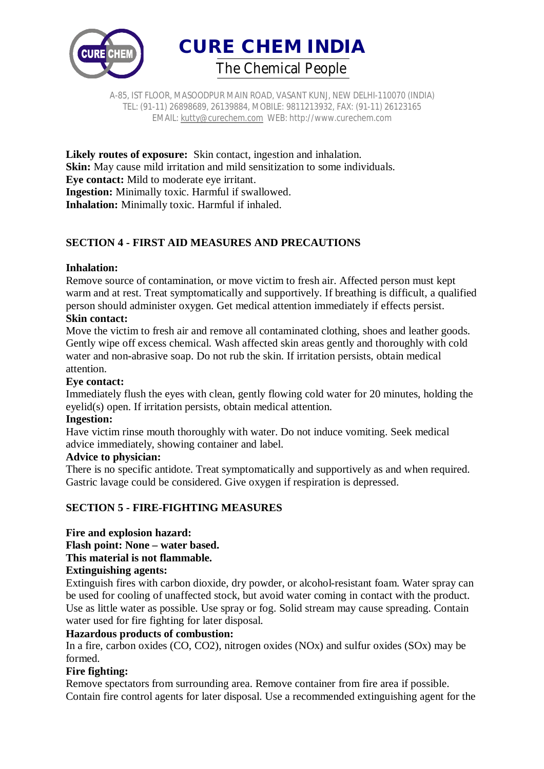

A-85, IST FLOOR, MASOODPUR MAIN ROAD, VASANT KUNJ, NEW DELHI-110070 (INDIA) TEL: (91-11) 26898689, 26139884, MOBILE: 9811213932, FAX: (91-11) 26123165 EMAIL: kutty@curechem.com WEB: http://www.curechem.com

**Likely routes of exposure:** Skin contact, ingestion and inhalation. **Skin:** May cause mild irritation and mild sensitization to some individuals. **Eye contact:** Mild to moderate eye irritant. **Ingestion:** Minimally toxic. Harmful if swallowed. **Inhalation:** Minimally toxic. Harmful if inhaled.

# **SECTION 4 - FIRST AID MEASURES AND PRECAUTIONS**

### **Inhalation:**

Remove source of contamination, or move victim to fresh air. Affected person must kept warm and at rest. Treat symptomatically and supportively. If breathing is difficult, a qualified person should administer oxygen. Get medical attention immediately if effects persist. **Skin contact:** 

Move the victim to fresh air and remove all contaminated clothing, shoes and leather goods. Gently wipe off excess chemical. Wash affected skin areas gently and thoroughly with cold water and non-abrasive soap. Do not rub the skin. If irritation persists, obtain medical attention.

#### **Eye contact:**

Immediately flush the eyes with clean, gently flowing cold water for 20 minutes, holding the eyelid(s) open. If irritation persists, obtain medical attention.

#### **Ingestion:**

Have victim rinse mouth thoroughly with water. Do not induce vomiting. Seek medical advice immediately, showing container and label.

#### **Advice to physician:**

There is no specific antidote. Treat symptomatically and supportively as and when required. Gastric lavage could be considered. Give oxygen if respiration is depressed.

# **SECTION 5 - FIRE-FIGHTING MEASURES**

# **Fire and explosion hazard:**

# **Flash point: None – water based.**

# **This material is not flammable.**

# **Extinguishing agents:**

Extinguish fires with carbon dioxide, dry powder, or alcohol-resistant foam. Water spray can be used for cooling of unaffected stock, but avoid water coming in contact with the product. Use as little water as possible. Use spray or fog. Solid stream may cause spreading. Contain water used for fire fighting for later disposal.

# **Hazardous products of combustion:**

In a fire, carbon oxides (CO, CO2), nitrogen oxides (NOx) and sulfur oxides (SOx) may be formed.

# **Fire fighting:**

Remove spectators from surrounding area. Remove container from fire area if possible. Contain fire control agents for later disposal. Use a recommended extinguishing agent for the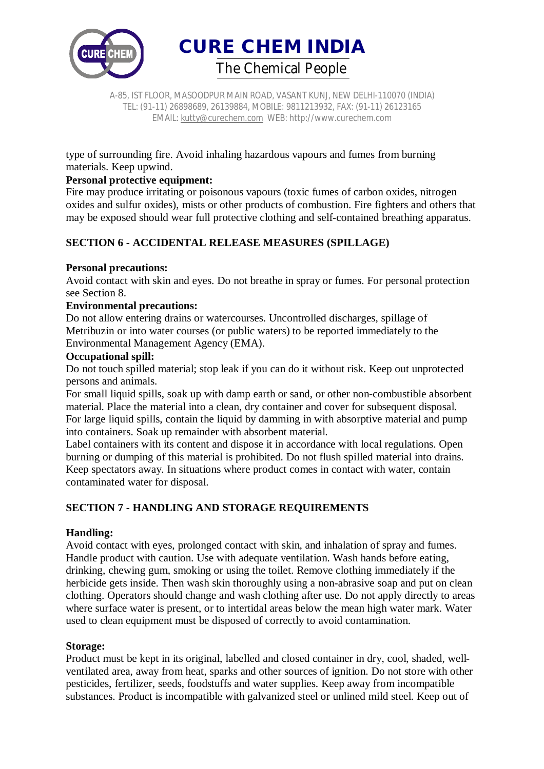

A-85, IST FLOOR, MASOODPUR MAIN ROAD, VASANT KUNJ, NEW DELHI-110070 (INDIA) TEL: (91-11) 26898689, 26139884, MOBILE: 9811213932, FAX: (91-11) 26123165 EMAIL: kutty@curechem.com WEB: http://www.curechem.com

type of surrounding fire. Avoid inhaling hazardous vapours and fumes from burning materials. Keep upwind.

# **Personal protective equipment:**

Fire may produce irritating or poisonous vapours (toxic fumes of carbon oxides, nitrogen oxides and sulfur oxides), mists or other products of combustion. Fire fighters and others that may be exposed should wear full protective clothing and self-contained breathing apparatus.

# **SECTION 6 - ACCIDENTAL RELEASE MEASURES (SPILLAGE)**

# **Personal precautions:**

Avoid contact with skin and eyes. Do not breathe in spray or fumes. For personal protection see Section 8.

### **Environmental precautions:**

Do not allow entering drains or watercourses. Uncontrolled discharges, spillage of Metribuzin or into water courses (or public waters) to be reported immediately to the Environmental Management Agency (EMA).

### **Occupational spill:**

Do not touch spilled material; stop leak if you can do it without risk. Keep out unprotected persons and animals.

For small liquid spills, soak up with damp earth or sand, or other non-combustible absorbent material. Place the material into a clean, dry container and cover for subsequent disposal. For large liquid spills, contain the liquid by damming in with absorptive material and pump into containers. Soak up remainder with absorbent material.

Label containers with its content and dispose it in accordance with local regulations. Open burning or dumping of this material is prohibited. Do not flush spilled material into drains. Keep spectators away. In situations where product comes in contact with water, contain contaminated water for disposal.

# **SECTION 7 - HANDLING AND STORAGE REQUIREMENTS**

# **Handling:**

Avoid contact with eyes, prolonged contact with skin, and inhalation of spray and fumes. Handle product with caution. Use with adequate ventilation. Wash hands before eating, drinking, chewing gum, smoking or using the toilet. Remove clothing immediately if the herbicide gets inside. Then wash skin thoroughly using a non-abrasive soap and put on clean clothing. Operators should change and wash clothing after use. Do not apply directly to areas where surface water is present, or to intertidal areas below the mean high water mark. Water used to clean equipment must be disposed of correctly to avoid contamination.

#### **Storage:**

Product must be kept in its original, labelled and closed container in dry, cool, shaded, wellventilated area, away from heat, sparks and other sources of ignition. Do not store with other pesticides, fertilizer, seeds, foodstuffs and water supplies. Keep away from incompatible substances. Product is incompatible with galvanized steel or unlined mild steel. Keep out of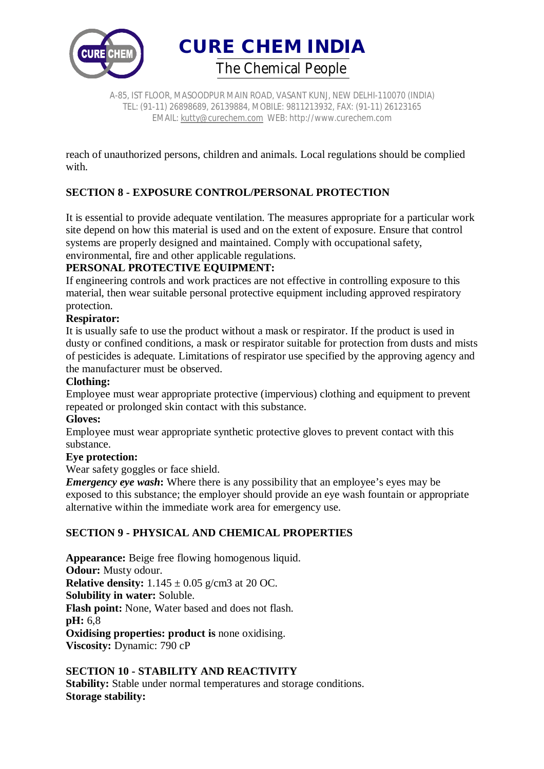

A-85, IST FLOOR, MASOODPUR MAIN ROAD, VASANT KUNJ, NEW DELHI-110070 (INDIA) TEL: (91-11) 26898689, 26139884, MOBILE: 9811213932, FAX: (91-11) 26123165 EMAIL: kutty@curechem.com WEB: http://www.curechem.com

reach of unauthorized persons, children and animals. Local regulations should be complied with.

# **SECTION 8 - EXPOSURE CONTROL/PERSONAL PROTECTION**

It is essential to provide adequate ventilation. The measures appropriate for a particular work site depend on how this material is used and on the extent of exposure. Ensure that control systems are properly designed and maintained. Comply with occupational safety, environmental, fire and other applicable regulations.

# **PERSONAL PROTECTIVE EQUIPMENT:**

If engineering controls and work practices are not effective in controlling exposure to this material, then wear suitable personal protective equipment including approved respiratory protection.

### **Respirator:**

It is usually safe to use the product without a mask or respirator. If the product is used in dusty or confined conditions, a mask or respirator suitable for protection from dusts and mists of pesticides is adequate. Limitations of respirator use specified by the approving agency and the manufacturer must be observed.

### **Clothing:**

Employee must wear appropriate protective (impervious) clothing and equipment to prevent repeated or prolonged skin contact with this substance.

#### **Gloves:**

Employee must wear appropriate synthetic protective gloves to prevent contact with this substance.

#### **Eye protection:**

Wear safety goggles or face shield.

*Emergency eye wash*: Where there is any possibility that an employee's eyes may be exposed to this substance; the employer should provide an eye wash fountain or appropriate alternative within the immediate work area for emergency use.

# **SECTION 9 - PHYSICAL AND CHEMICAL PROPERTIES**

**Appearance:** Beige free flowing homogenous liquid. **Odour:** Musty odour. **Relative density:** 1.145 ± 0.05 g/cm3 at 20 OC. **Solubility in water:** Soluble. **Flash point:** None, Water based and does not flash. **pH:** 6,8 **Oxidising properties: product is** none oxidising. **Viscosity:** Dynamic: 790 cP

# **SECTION 10 - STABILITY AND REACTIVITY**

**Stability:** Stable under normal temperatures and storage conditions. **Storage stability:**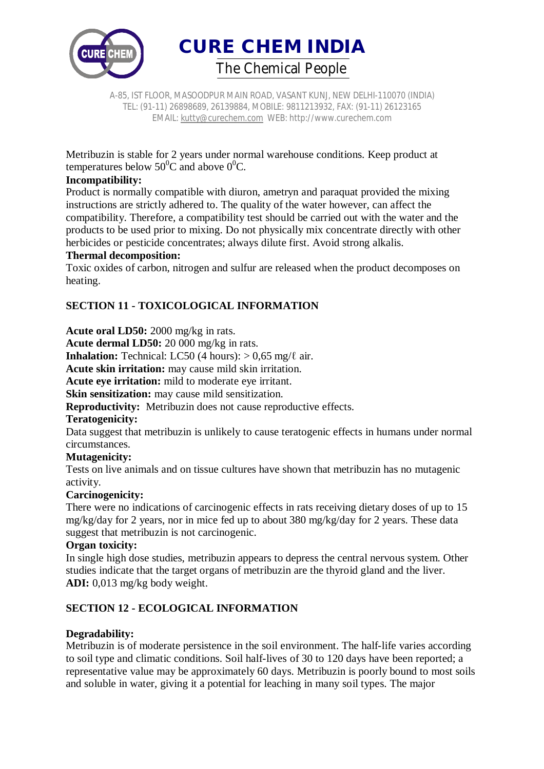

A-85, IST FLOOR, MASOODPUR MAIN ROAD, VASANT KUNJ, NEW DELHI-110070 (INDIA) TEL: (91-11) 26898689, 26139884, MOBILE: 9811213932, FAX: (91-11) 26123165 EMAIL: kutty@curechem.com WEB: http://www.curechem.com

Metribuzin is stable for 2 years under normal warehouse conditions. Keep product at temperatures below  $50^0C$  and above  $0^0C$ .

# **Incompatibility:**

Product is normally compatible with diuron, ametryn and paraquat provided the mixing instructions are strictly adhered to. The quality of the water however, can affect the compatibility. Therefore, a compatibility test should be carried out with the water and the products to be used prior to mixing. Do not physically mix concentrate directly with other herbicides or pesticide concentrates; always dilute first. Avoid strong alkalis.

#### **Thermal decomposition:**

Toxic oxides of carbon, nitrogen and sulfur are released when the product decomposes on heating.

# **SECTION 11 - TOXICOLOGICAL INFORMATION**

**Acute oral LD50:** 2000 mg/kg in rats.

**Acute dermal LD50:** 20 000 mg/kg in rats.

**Inhalation:** Technical: LC50 (4 hours):  $> 0.65$  mg/ $\ell$  air.

**Acute skin irritation:** may cause mild skin irritation.

**Acute eye irritation:** mild to moderate eye irritant.

**Skin sensitization:** may cause mild sensitization.

**Reproductivity:** Metribuzin does not cause reproductive effects.

# **Teratogenicity:**

Data suggest that metribuzin is unlikely to cause teratogenic effects in humans under normal circumstances.

#### **Mutagenicity:**

Tests on live animals and on tissue cultures have shown that metribuzin has no mutagenic activity.

#### **Carcinogenicity:**

There were no indications of carcinogenic effects in rats receiving dietary doses of up to 15 mg/kg/day for 2 years, nor in mice fed up to about 380 mg/kg/day for 2 years. These data suggest that metribuzin is not carcinogenic.

### **Organ toxicity:**

In single high dose studies, metribuzin appears to depress the central nervous system. Other studies indicate that the target organs of metribuzin are the thyroid gland and the liver. **ADI:** 0,013 mg/kg body weight.

# **SECTION 12 - ECOLOGICAL INFORMATION**

# **Degradability:**

Metribuzin is of moderate persistence in the soil environment. The half-life varies according to soil type and climatic conditions. Soil half-lives of 30 to 120 days have been reported; a representative value may be approximately 60 days. Metribuzin is poorly bound to most soils and soluble in water, giving it a potential for leaching in many soil types. The major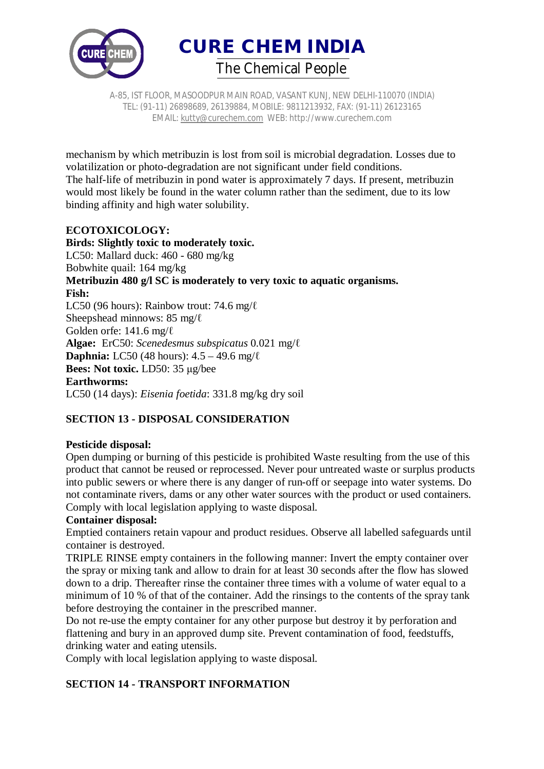

A-85, IST FLOOR, MASOODPUR MAIN ROAD, VASANT KUNJ, NEW DELHI-110070 (INDIA) TEL: (91-11) 26898689, 26139884, MOBILE: 9811213932, FAX: (91-11) 26123165 EMAIL: kutty@curechem.com WEB: http://www.curechem.com

mechanism by which metribuzin is lost from soil is microbial degradation. Losses due to volatilization or photo-degradation are not significant under field conditions. The half-life of metribuzin in pond water is approximately 7 days. If present, metribuzin would most likely be found in the water column rather than the sediment, due to its low binding affinity and high water solubility.

# **ECOTOXICOLOGY:**

**Birds: Slightly toxic to moderately toxic.**  LC50: Mallard duck: 460 - 680 mg/kg Bobwhite quail: 164 mg/kg **Metribuzin 480 g/l SC is moderately to very toxic to aquatic organisms. Fish:**  LC50 (96 hours): Rainbow trout: 74.6 mg/ℓ Sheepshead minnows: 85 mg/ℓ Golden orfe: 141.6 mg/ℓ **Algae:** ErC50: *Scenedesmus subspicatus* 0.021 mg/ℓ **Daphnia:** LC50 (48 hours): 4.5 – 49.6 mg/ℓ **Bees: Not toxic.** LD50: 35 μg/bee **Earthworms:**  LC50 (14 days): *Eisenia foetida*: 331.8 mg/kg dry soil

# **SECTION 13 - DISPOSAL CONSIDERATION**

# **Pesticide disposal:**

Open dumping or burning of this pesticide is prohibited Waste resulting from the use of this product that cannot be reused or reprocessed. Never pour untreated waste or surplus products into public sewers or where there is any danger of run-off or seepage into water systems. Do not contaminate rivers, dams or any other water sources with the product or used containers. Comply with local legislation applying to waste disposal.

# **Container disposal:**

Emptied containers retain vapour and product residues. Observe all labelled safeguards until container is destroyed.

TRIPLE RINSE empty containers in the following manner: Invert the empty container over the spray or mixing tank and allow to drain for at least 30 seconds after the flow has slowed down to a drip. Thereafter rinse the container three times with a volume of water equal to a minimum of 10 % of that of the container. Add the rinsings to the contents of the spray tank before destroying the container in the prescribed manner.

Do not re-use the empty container for any other purpose but destroy it by perforation and flattening and bury in an approved dump site. Prevent contamination of food, feedstuffs, drinking water and eating utensils.

Comply with local legislation applying to waste disposal.

# **SECTION 14 - TRANSPORT INFORMATION**